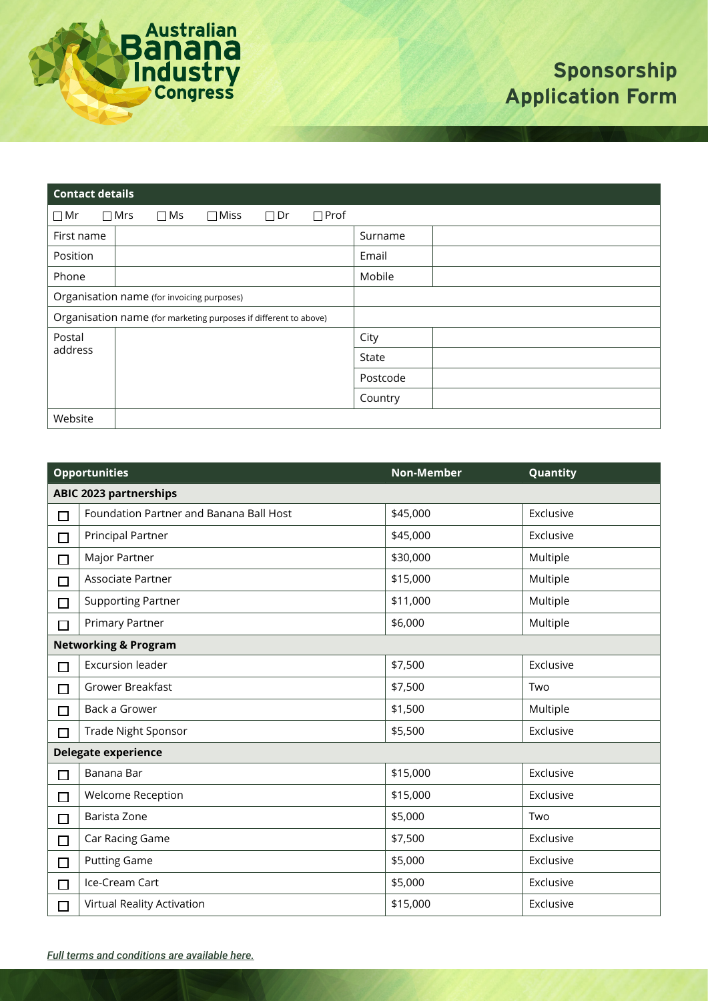

# **Sponsorship Application Form**

| <b>Contact details</b>                                           |            |           |             |              |             |          |
|------------------------------------------------------------------|------------|-----------|-------------|--------------|-------------|----------|
| $\Box$ Mr                                                        | $\Box$ Mrs | $\Box$ Ms | $\Box$ Miss | $\square$ Dr | $\Box$ Prof |          |
| First name                                                       |            |           |             |              |             | Surname  |
| Position                                                         |            |           |             |              |             | Email    |
| Phone                                                            |            |           |             |              |             | Mobile   |
| Organisation name (for invoicing purposes)                       |            |           |             |              |             |          |
| Organisation name (for marketing purposes if different to above) |            |           |             |              |             |          |
| Postal                                                           |            |           |             |              |             | City     |
| address                                                          |            |           |             |              |             | State    |
|                                                                  |            |           |             |              |             | Postcode |
|                                                                  |            |           |             |              |             | Country  |
| Website                                                          |            |           |             |              |             |          |

|                                 | <b>Opportunities</b>                    | <b>Non-Member</b> | Quantity  |  |
|---------------------------------|-----------------------------------------|-------------------|-----------|--|
| <b>ABIC 2023 partnerships</b>   |                                         |                   |           |  |
| $\Box$                          | Foundation Partner and Banana Ball Host | \$45,000          | Exclusive |  |
| $\Box$                          | <b>Principal Partner</b>                | \$45,000          | Exclusive |  |
| $\Box$                          | Major Partner                           | \$30,000          | Multiple  |  |
| $\Box$                          | Associate Partner                       | \$15,000          | Multiple  |  |
| □                               | <b>Supporting Partner</b>               | \$11,000          | Multiple  |  |
| $\Box$                          | <b>Primary Partner</b>                  | \$6,000           | Multiple  |  |
| <b>Networking &amp; Program</b> |                                         |                   |           |  |
| $\Box$                          | <b>Excursion leader</b>                 | \$7,500           | Exclusive |  |
| $\Box$                          | Grower Breakfast                        | \$7,500           | Two       |  |
| П                               | Back a Grower                           | \$1,500           | Multiple  |  |
| $\Box$                          | <b>Trade Night Sponsor</b>              | \$5,500           | Exclusive |  |
| <b>Delegate experience</b>      |                                         |                   |           |  |
| $\Box$                          | Banana Bar                              | \$15,000          | Exclusive |  |
| $\Box$                          | Welcome Reception                       | \$15,000          | Exclusive |  |
| $\Box$                          | Barista Zone                            | \$5,000           | Two       |  |
| $\Box$                          | Car Racing Game                         | \$7,500           | Exclusive |  |
| $\Box$                          | <b>Putting Game</b>                     | \$5,000           | Exclusive |  |
| $\Box$                          | Ice-Cream Cart                          | \$5,000           | Exclusive |  |
| $\Box$                          | Virtual Reality Activation              | \$15,000          | Exclusive |  |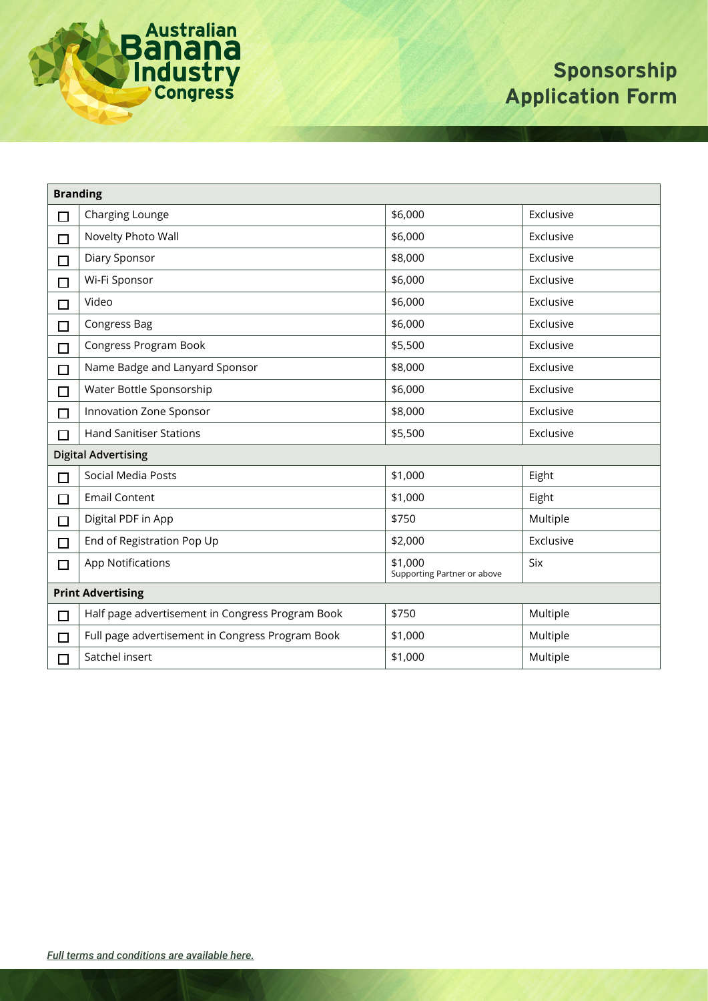

# **Sponsorship Application Form**

| <b>Branding</b>            |                                                  |                                        |           |  |
|----------------------------|--------------------------------------------------|----------------------------------------|-----------|--|
| $\Box$                     | Charging Lounge                                  | \$6,000                                | Exclusive |  |
| $\Box$                     | Novelty Photo Wall                               | \$6,000                                | Exclusive |  |
| □                          | Diary Sponsor                                    | \$8,000                                | Exclusive |  |
| □                          | Wi-Fi Sponsor                                    | \$6,000                                | Exclusive |  |
| □                          | Video                                            | \$6,000                                | Exclusive |  |
| $\Box$                     | Congress Bag                                     | \$6,000                                | Exclusive |  |
| $\Box$                     | Congress Program Book                            | \$5,500                                | Exclusive |  |
| □                          | Name Badge and Lanyard Sponsor                   | \$8,000                                | Exclusive |  |
| $\Box$                     | Water Bottle Sponsorship                         | \$6,000                                | Exclusive |  |
| П                          | Innovation Zone Sponsor                          | \$8,000                                | Exclusive |  |
| П                          | <b>Hand Sanitiser Stations</b>                   | \$5,500                                | Exclusive |  |
| <b>Digital Advertising</b> |                                                  |                                        |           |  |
| □                          | Social Media Posts                               | \$1,000                                | Eight     |  |
| $\Box$                     | <b>Email Content</b>                             | \$1,000                                | Eight     |  |
| $\Box$                     | Digital PDF in App                               | \$750                                  | Multiple  |  |
| $\Box$                     | End of Registration Pop Up                       | \$2,000                                | Exclusive |  |
| $\Box$                     | <b>App Notifications</b>                         | \$1,000<br>Supporting Partner or above | Six       |  |
| <b>Print Advertising</b>   |                                                  |                                        |           |  |
| $\Box$                     | Half page advertisement in Congress Program Book | \$750                                  | Multiple  |  |
| □                          | Full page advertisement in Congress Program Book | \$1,000                                | Multiple  |  |
| $\Box$                     | Satchel insert                                   | \$1,000                                | Multiple  |  |